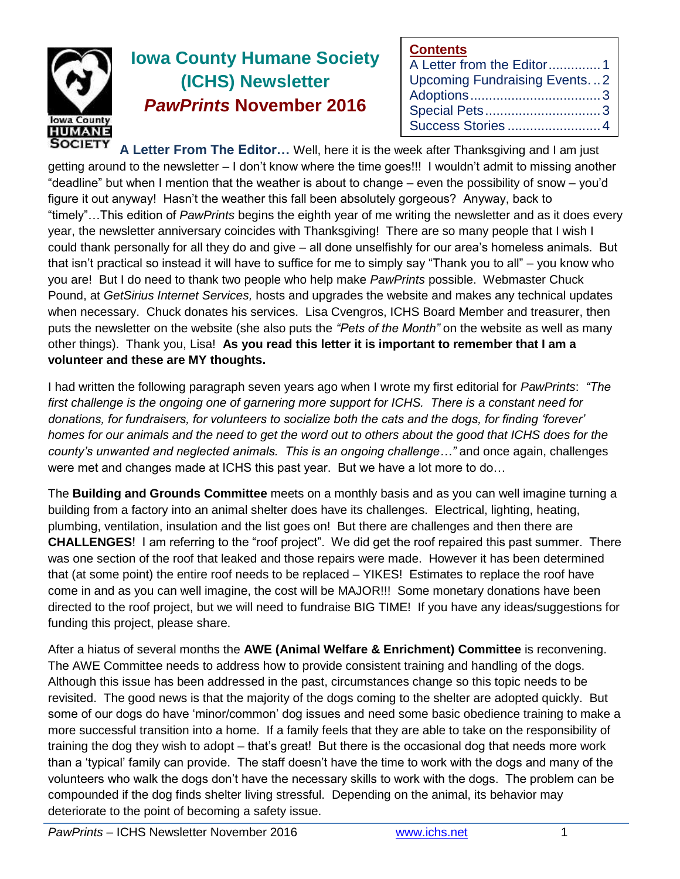

# **Iowa County Humane Society (ICHS) Newsletter** *PawPrints* **November 2016**

| <b>Contents</b>              |  |
|------------------------------|--|
| A Letter from the Editor1    |  |
| Upcoming Fundraising Events2 |  |
|                              |  |
|                              |  |
| Success Stories 4            |  |

**A Letter From The Editor…** Well, here it is the week after Thanksgiving and I am just getting around to the newsletter – I don't know where the time goes!!! I wouldn't admit to missing another "deadline" but when I mention that the weather is about to change – even the possibility of snow – you'd figure it out anyway! Hasn't the weather this fall been absolutely gorgeous? Anyway, back to "timely"…This edition of *PawPrints* begins the eighth year of me writing the newsletter and as it does every year, the newsletter anniversary coincides with Thanksgiving! There are so many people that I wish I could thank personally for all they do and give – all done unselfishly for our area's homeless animals. But that isn't practical so instead it will have to suffice for me to simply say "Thank you to all" – you know who you are! But I do need to thank two people who help make *PawPrints* possible. Webmaster Chuck Pound, at *GetSirius Internet Services,* hosts and upgrades the website and makes any technical updates when necessary. Chuck donates his services. Lisa Cvengros, ICHS Board Member and treasurer, then puts the newsletter on the website (she also puts the *"Pets of the Month"* on the website as well as many other things). Thank you, Lisa! **As you read this letter it is important to remember that I am a volunteer and these are MY thoughts.**

I had written the following paragraph seven years ago when I wrote my first editorial for *PawPrints*: *"The first challenge is the ongoing one of garnering more support for ICHS. There is a constant need for donations, for fundraisers, for volunteers to socialize both the cats and the dogs, for finding 'forever' homes for our animals and the need to get the word out to others about the good that ICHS does for the county's unwanted and neglected animals. This is an ongoing challenge…"* and once again, challenges were met and changes made at ICHS this past year. But we have a lot more to do…

The **Building and Grounds Committee** meets on a monthly basis and as you can well imagine turning a building from a factory into an animal shelter does have its challenges. Electrical, lighting, heating, plumbing, ventilation, insulation and the list goes on! But there are challenges and then there are **CHALLENGES**! I am referring to the "roof project". We did get the roof repaired this past summer. There was one section of the roof that leaked and those repairs were made. However it has been determined that (at some point) the entire roof needs to be replaced – YIKES! Estimates to replace the roof have come in and as you can well imagine, the cost will be MAJOR!!! Some monetary donations have been directed to the roof project, but we will need to fundraise BIG TIME! If you have any ideas/suggestions for funding this project, please share.

After a hiatus of several months the **AWE (Animal Welfare & Enrichment) Committee** is reconvening. The AWE Committee needs to address how to provide consistent training and handling of the dogs. Although this issue has been addressed in the past, circumstances change so this topic needs to be revisited. The good news is that the majority of the dogs coming to the shelter are adopted quickly. But some of our dogs do have 'minor/common' dog issues and need some basic obedience training to make a more successful transition into a home. If a family feels that they are able to take on the responsibility of training the dog they wish to adopt – that's great! But there is the occasional dog that needs more work than a 'typical' family can provide. The staff doesn't have the time to work with the dogs and many of the volunteers who walk the dogs don't have the necessary skills to work with the dogs. The problem can be compounded if the dog finds shelter living stressful. Depending on the animal, its behavior may deteriorate to the point of becoming a safety issue.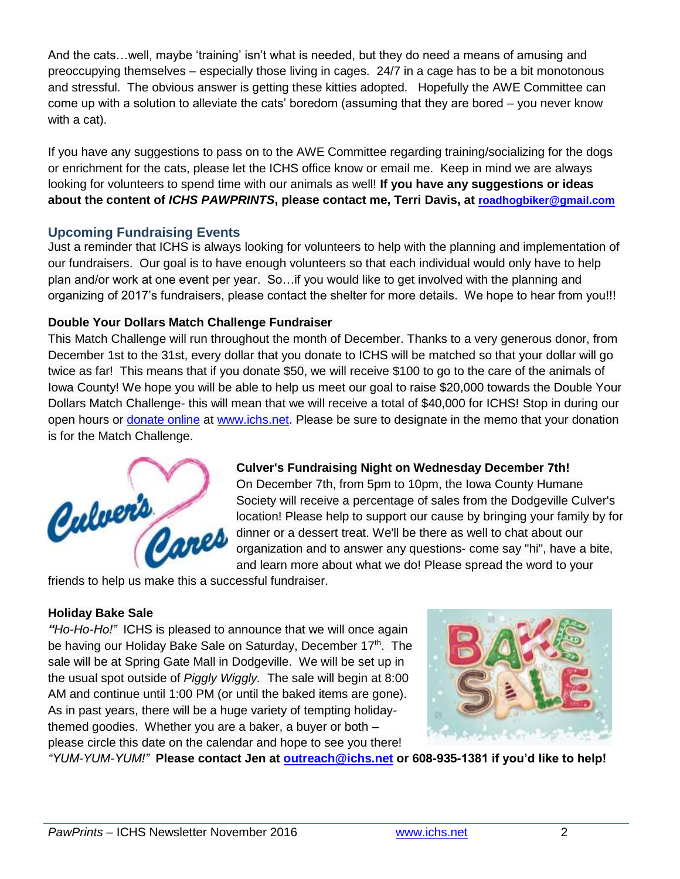And the cats…well, maybe 'training' isn't what is needed, but they do need a means of amusing and preoccupying themselves – especially those living in cages. 24/7 in a cage has to be a bit monotonous and stressful. The obvious answer is getting these kitties adopted. Hopefully the AWE Committee can come up with a solution to alleviate the cats' boredom (assuming that they are bored – you never know with a cat).

If you have any suggestions to pass on to the AWE Committee regarding training/socializing for the dogs or enrichment for the cats, please let the ICHS office know or email me. Keep in mind we are always looking for volunteers to spend time with our animals as well! **If you have any suggestions or ideas about the content of** *ICHS PAWPRINTS***, please contact me, Terri Davis, at [roadhogbiker@gmail.com](mailto:roadhogbiker@gmail.com)**

## **Upcoming Fundraising Events**

Just a reminder that ICHS is always looking for volunteers to help with the planning and implementation of our fundraisers. Our goal is to have enough volunteers so that each individual would only have to help plan and/or work at one event per year. So…if you would like to get involved with the planning and organizing of 2017's fundraisers, please contact the shelter for more details. We hope to hear from you!!!

#### **Double Your Dollars Match Challenge Fundraiser**

This Match Challenge will run throughout the month of December. Thanks to a very generous donor, from December 1st to the 31st, every dollar that you donate to ICHS will be matched so that your dollar will go twice as far! This means that if you donate \$50, we will receive \$100 to go to the care of the animals of Iowa County! We hope you will be able to help us meet our goal to raise \$20,000 towards the Double Your Dollars Match Challenge- this will mean that we will receive a total of \$40,000 for ICHS! Stop in during our open hours or [donate online](http://www.ichs.net/help-ichs/donations/) at [www.ichs.net.](http://www.ichs.net/) Please be sure to designate in the memo that your donation is for the Match Challenge.



## **Culver's Fundraising Night on Wednesday December 7th!**

On December 7th, from 5pm to 10pm, the Iowa County Humane Society will receive a percentage of sales from the Dodgeville Culver's location! Please help to support our cause by bringing your family by for dinner or a dessert treat. We'll be there as well to chat about our organization and to answer any questions- come say "hi", have a bite, and learn more about what we do! Please spread the word to your

friends to help us make this a successful fundraiser.

#### **Holiday Bake Sale**

*"Ho-Ho-Ho!"* ICHS is pleased to announce that we will once again be having our Holiday Bake Sale on Saturday, December 17<sup>th</sup>. The sale will be at Spring Gate Mall in Dodgeville. We will be set up in the usual spot outside of *Piggly Wiggly.* The sale will begin at 8:00 AM and continue until 1:00 PM (or until the baked items are gone). As in past years, there will be a huge variety of tempting holidaythemed goodies. Whether you are a baker, a buyer or both – please circle this date on the calendar and hope to see you there!



*"YUM-YUM-YUM!"* **Please contact Jen at [outreach@ichs.net](mailto:outreach@ichs.net) or 608-935-1381 if you'd like to help!**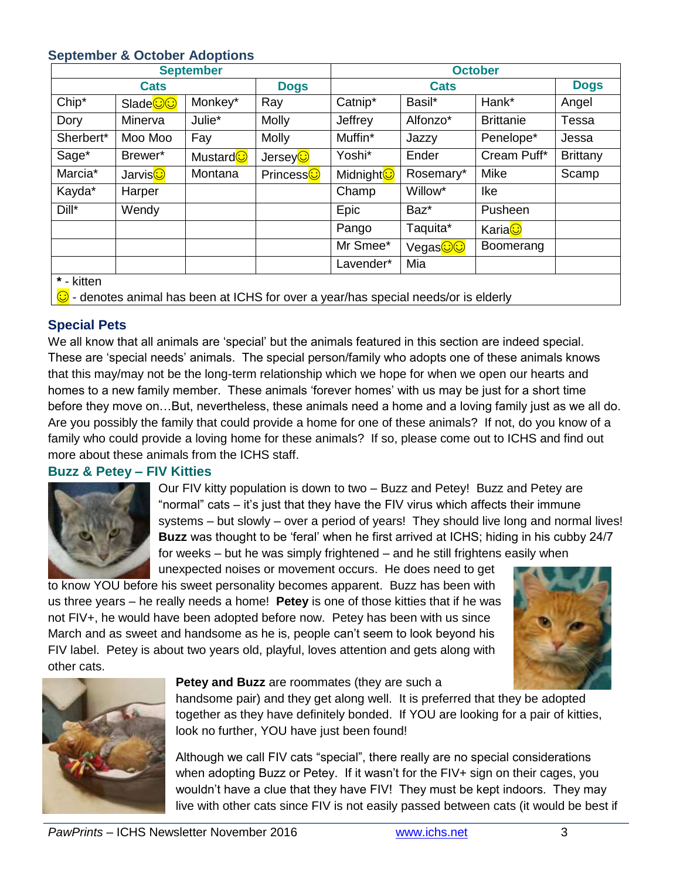#### **September & October Adoptions**

| <b>September</b>                                                                             |                     |                     |                       | <b>October</b> |                       |                  |                 |  |  |
|----------------------------------------------------------------------------------------------|---------------------|---------------------|-----------------------|----------------|-----------------------|------------------|-----------------|--|--|
| <b>Cats</b>                                                                                  |                     |                     | <b>Dogs</b>           | <b>Cats</b>    |                       |                  | <b>Dogs</b>     |  |  |
| Chip*                                                                                        | Slade <sup>oo</sup> | Monkey*             | Ray                   | Catnip*        | Basil*                | Hank*            | Angel           |  |  |
| Dory                                                                                         | Minerva             | Julie*              | <b>Molly</b>          | Jeffrey        | Alfonzo*              | <b>Brittanie</b> | Tessa           |  |  |
| Sherbert*                                                                                    | Moo Moo             | Fay                 | <b>Molly</b>          | Muffin*        | Jazzy                 | Penelope*        | Jessa           |  |  |
| Sage*                                                                                        | Brewer*             | Mustard <sup></sup> | JerseyO               | Yoshi*         | Ender                 | Cream Puff*      | <b>Brittany</b> |  |  |
| Marcia*                                                                                      | Jarvis <b>O</b>     | Montana             | Princess <sup>c</sup> | Midnight C     | Rosemary*             | Mike             | Scamp           |  |  |
| Kayda*                                                                                       | Harper              |                     |                       | Champ          | Willow*               | <b>Ike</b>       |                 |  |  |
| $Dill^*$                                                                                     | Wendy               |                     |                       | Epic           | Baz*                  | Pusheen          |                 |  |  |
|                                                                                              |                     |                     |                       | Pango          | Taquita*              | Karia <b>O</b>   |                 |  |  |
|                                                                                              |                     |                     |                       | Mr Smee*       | Vegas <mark>©©</mark> | Boomerang        |                 |  |  |
|                                                                                              |                     |                     |                       | Lavender*      | Mia                   |                  |                 |  |  |
| * - kitten                                                                                   |                     |                     |                       |                |                       |                  |                 |  |  |
| $\bigcirc$ - denotes animal has been at ICHS for over a year/has special needs/or is elderly |                     |                     |                       |                |                       |                  |                 |  |  |

## **Special Pets**

We all know that all animals are 'special' but the animals featured in this section are indeed special. These are 'special needs' animals. The special person/family who adopts one of these animals knows that this may/may not be the long-term relationship which we hope for when we open our hearts and homes to a new family member. These animals 'forever homes' with us may be just for a short time before they move on…But, nevertheless, these animals need a home and a loving family just as we all do. Are you possibly the family that could provide a home for one of these animals? If not, do you know of a family who could provide a loving home for these animals? If so, please come out to ICHS and find out more about these animals from the ICHS staff.

#### **Buzz & Petey – FIV Kitties**



Our FIV kitty population is down to two – Buzz and Petey! Buzz and Petey are "normal" cats – it's just that they have the FIV virus which affects their immune systems – but slowly – over a period of years! They should live long and normal lives! **Buzz** was thought to be 'feral' when he first arrived at ICHS; hiding in his cubby 24/7 for weeks – but he was simply frightened – and he still frightens easily when

unexpected noises or movement occurs. He does need to get to know YOU before his sweet personality becomes apparent. Buzz has been with us three years – he really needs a home! **Petey** is one of those kitties that if he was not FIV+, he would have been adopted before now. Petey has been with us since March and as sweet and handsome as he is, people can't seem to look beyond his FIV label. Petey is about two years old, playful, loves attention and gets along with other cats.





#### **Petey and Buzz** are roommates (they are such a

handsome pair) and they get along well. It is preferred that they be adopted together as they have definitely bonded. If YOU are looking for a pair of kitties, look no further, YOU have just been found!

Although we call FIV cats "special", there really are no special considerations when adopting Buzz or Petey. If it wasn't for the FIV+ sign on their cages, you wouldn't have a clue that they have FIV! They must be kept indoors. They may live with other cats since FIV is not easily passed between cats (it would be best if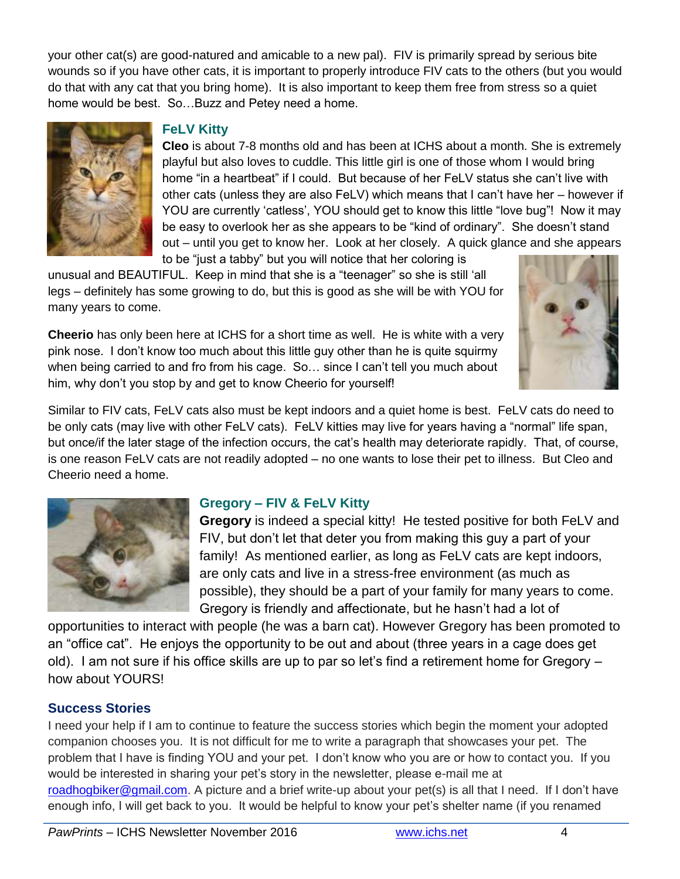your other cat(s) are good-natured and amicable to a new pal). FIV is primarily spread by serious bite wounds so if you have other cats, it is important to properly introduce FIV cats to the others (but you would do that with any cat that you bring home). It is also important to keep them free from stress so a quiet home would be best. So…Buzz and Petey need a home.



#### **FeLV Kitty**

**Cleo** is about 7-8 months old and has been at ICHS about a month. She is extremely playful but also loves to cuddle. This little girl is one of those whom I would bring home "in a heartbeat" if I could. But because of her FeLV status she can't live with other cats (unless they are also FeLV) which means that I can't have her – however if YOU are currently 'catless', YOU should get to know this little "love bug"! Now it may be easy to overlook her as she appears to be "kind of ordinary". She doesn't stand out – until you get to know her. Look at her closely. A quick glance and she appears to be "just a tabby" but you will notice that her coloring is

unusual and BEAUTIFUL. Keep in mind that she is a "teenager" so she is still 'all legs – definitely has some growing to do, but this is good as she will be with YOU for many years to come.

**Cheerio** has only been here at ICHS for a short time as well. He is white with a very pink nose. I don't know too much about this little guy other than he is quite squirmy when being carried to and fro from his cage. So… since I can't tell you much about him, why don't you stop by and get to know Cheerio for yourself!



Similar to FIV cats, FeLV cats also must be kept indoors and a quiet home is best. FeLV cats do need to be only cats (may live with other FeLV cats). FeLV kitties may live for years having a "normal" life span, but once/if the later stage of the infection occurs, the cat's health may deteriorate rapidly. That, of course, is one reason FeLV cats are not readily adopted – no one wants to lose their pet to illness. But Cleo and Cheerio need a home.



## **Gregory – FIV & FeLV Kitty**

**Gregory** is indeed a special kitty! He tested positive for both FeLV and FIV, but don't let that deter you from making this guy a part of your family! As mentioned earlier, as long as FeLV cats are kept indoors, are only cats and live in a stress-free environment (as much as possible), they should be a part of your family for many years to come. Gregory is friendly and affectionate, but he hasn't had a lot of

opportunities to interact with people (he was a barn cat). However Gregory has been promoted to an "office cat". He enjoys the opportunity to be out and about (three years in a cage does get old). I am not sure if his office skills are up to par so let's find a retirement home for Gregory – how about YOURS!

## **Success Stories**

I need your help if I am to continue to feature the success stories which begin the moment your adopted companion chooses you. It is not difficult for me to write a paragraph that showcases your pet. The problem that I have is finding YOU and your pet. I don't know who you are or how to contact you. If you would be interested in sharing your pet's story in the newsletter, please e-mail me at [roadhogbiker@gmail.com.](mailto:roadhogbiker@gmail.com) A picture and a brief write-up about your pet(s) is all that I need. If I don't have enough info, I will get back to you. It would be helpful to know your pet's shelter name (if you renamed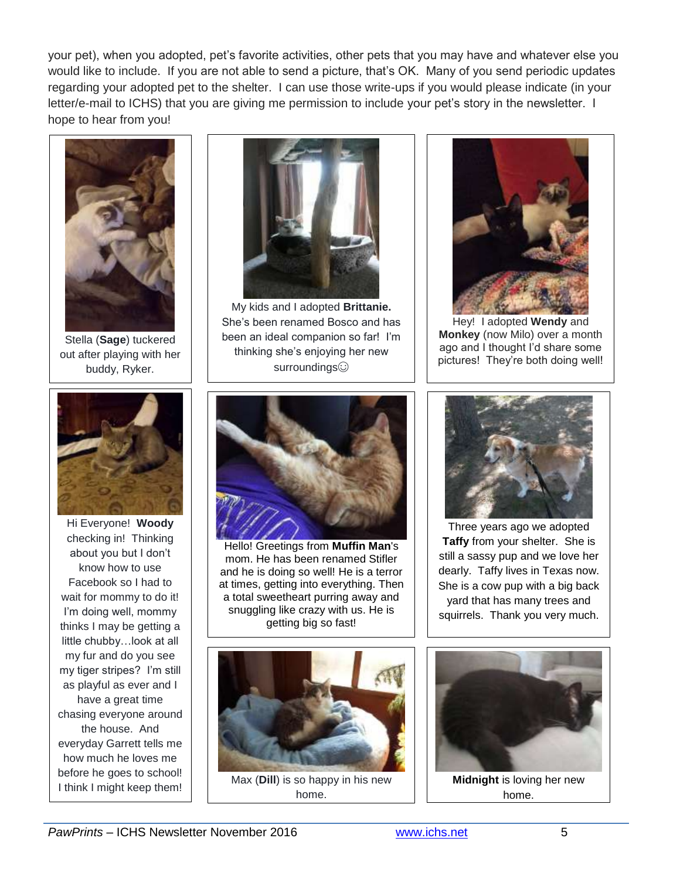your pet), when you adopted, pet's favorite activities, other pets that you may have and whatever else you would like to include. If you are not able to send a picture, that's OK. Many of you send periodic updates regarding your adopted pet to the shelter. I can use those write-ups if you would please indicate (in your letter/e-mail to ICHS) that you are giving me permission to include your pet's story in the newsletter. I hope to hear from you!



Stella (**Sage**) tuckered out after playing with her buddy, Ryker.



Hi Everyone! **Woody** checking in! Thinking about you but I don't know how to use Facebook so I had to wait for mommy to do it! I'm doing well, mommy thinks I may be getting a little chubby…look at all my fur and do you see my tiger stripes? I'm still as playful as ever and I have a great time chasing everyone around the house. And everyday Garrett tells me how much he loves me before he goes to school!



My kids and I adopted **Brittanie.** She's been renamed Bosco and has been an ideal companion so far! I'm thinking she's enjoying her new surroundings



Hey! I adopted **Wendy** and **Monkey** (now Milo) over a month ago and I thought I'd share some pictures! They're both doing well!



Hello! Greetings from **Muffin Man**'s mom. He has been renamed Stifler and he is doing so well! He is a terror at times, getting into everything. Then a total sweetheart purring away and snuggling like crazy with us. He is getting big so fast!



I think I might keep them! Max (**Dill**) is so happy in his new home.



Three years ago we adopted **Taffy** from your shelter. She is still a sassy pup and we love her dearly. Taffy lives in Texas now. She is a cow pup with a big back yard that has many trees and squirrels. Thank you very much.



home.